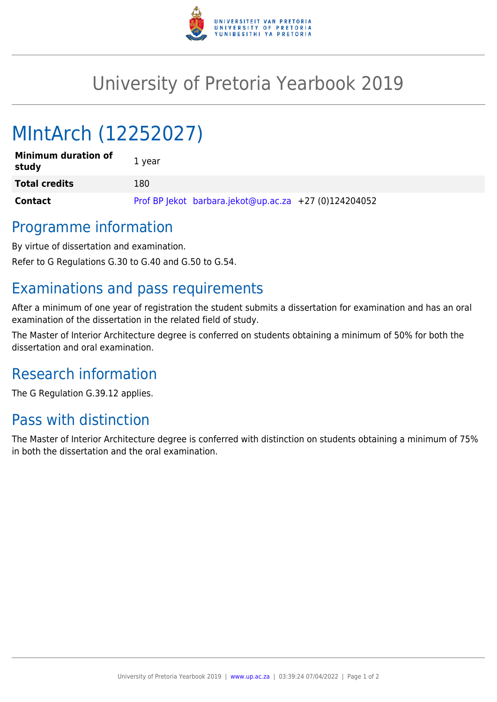

## University of Pretoria Yearbook 2019

# MIntArch (12252027)

| <b>Minimum duration of</b><br>study | 1 year                                                |
|-------------------------------------|-------------------------------------------------------|
| <b>Total credits</b>                | 180                                                   |
| Contact                             | Prof BP lekot barbara.jekot@up.ac.za +27 (0)124204052 |

#### Programme information

By virtue of dissertation and examination.

Refer to G Regulations G.30 to G.40 and G.50 to G.54.

#### Examinations and pass requirements

After a minimum of one year of registration the student submits a dissertation for examination and has an oral examination of the dissertation in the related field of study.

The Master of Interior Architecture degree is conferred on students obtaining a minimum of 50% for both the dissertation and oral examination.

### Research information

The G Regulation G.39.12 applies.

### Pass with distinction

The Master of Interior Architecture degree is conferred with distinction on students obtaining a minimum of 75% in both the dissertation and the oral examination.